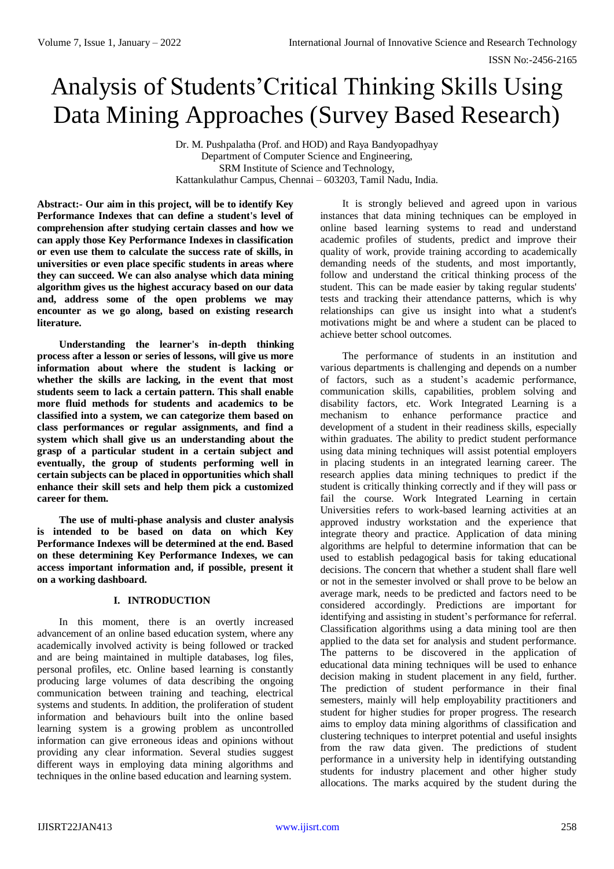# Analysis of Students'Critical Thinking Skills Using Data Mining Approaches (Survey Based Research)

Dr. M. Pushpalatha (Prof. and HOD) and Raya Bandyopadhyay Department of Computer Science and Engineering, SRM Institute of Science and Technology, Kattankulathur Campus, Chennai – 603203, Tamil Nadu, India.

**Abstract:- Our aim in this project, will be to identify Key Performance Indexes that can define a student's level of comprehension after studying certain classes and how we can apply those Key Performance Indexes in classification or even use them to calculate the success rate of skills, in universities or even place specific students in areas where they can succeed. We can also analyse which data mining algorithm gives us the highest accuracy based on our data and, address some of the open problems we may encounter as we go along, based on existing research literature.**

**Understanding the learner's in-depth thinking process after a lesson or series of lessons, will give us more information about where the student is lacking or whether the skills are lacking, in the event that most students seem to lack a certain pattern. This shall enable more fluid methods for students and academics to be classified into a system, we can categorize them based on class performances or regular assignments, and find a system which shall give us an understanding about the grasp of a particular student in a certain subject and eventually, the group of students performing well in certain subjects can be placed in opportunities which shall enhance their skill sets and help them pick a customized career for them.**

**The use of multi-phase analysis and cluster analysis is intended to be based on data on which Key Performance Indexes will be determined at the end. Based on these determining Key Performance Indexes, we can access important information and, if possible, present it on a working dashboard.**

# **I. INTRODUCTION**

In this moment, there is an overtly increased advancement of an online based education system, where any academically involved activity is being followed or tracked and are being maintained in multiple databases, log files, personal profiles, etc. Online based learning is constantly producing large volumes of data describing the ongoing communication between training and teaching, electrical systems and students. In addition, the proliferation of student information and behaviours built into the online based learning system is a growing problem as uncontrolled information can give erroneous ideas and opinions without providing any clear information. Several studies suggest different ways in employing data mining algorithms and techniques in the online based education and learning system.

It is strongly believed and agreed upon in various instances that data mining techniques can be employed in online based learning systems to read and understand academic profiles of students, predict and improve their quality of work, provide training according to academically demanding needs of the students, and most importantly, follow and understand the critical thinking process of the student. This can be made easier by taking regular students' tests and tracking their attendance patterns, which is why relationships can give us insight into what a student's motivations might be and where a student can be placed to achieve better school outcomes.

The performance of students in an institution and various departments is challenging and depends on a number of factors, such as a student's academic performance, communication skills, capabilities, problem solving and disability factors, etc. Work Integrated Learning is a mechanism to enhance performance practice and development of a student in their readiness skills, especially within graduates. The ability to predict student performance using data mining techniques will assist potential employers in placing students in an integrated learning career. The research applies data mining techniques to predict if the student is critically thinking correctly and if they will pass or fail the course. Work Integrated Learning in certain Universities refers to work-based learning activities at an approved industry workstation and the experience that integrate theory and practice. Application of data mining algorithms are helpful to determine information that can be used to establish pedagogical basis for taking educational decisions. The concern that whether a student shall flare well or not in the semester involved or shall prove to be below an average mark, needs to be predicted and factors need to be considered accordingly. Predictions are important for identifying and assisting in student's performance for referral. Classification algorithms using a data mining tool are then applied to the data set for analysis and student performance. The patterns to be discovered in the application of educational data mining techniques will be used to enhance decision making in student placement in any field, further. The prediction of student performance in their final semesters, mainly will help employability practitioners and student for higher studies for proper progress. The research aims to employ data mining algorithms of classification and clustering techniques to interpret potential and useful insights from the raw data given. The predictions of student performance in a university help in identifying outstanding students for industry placement and other higher study allocations. The marks acquired by the student during the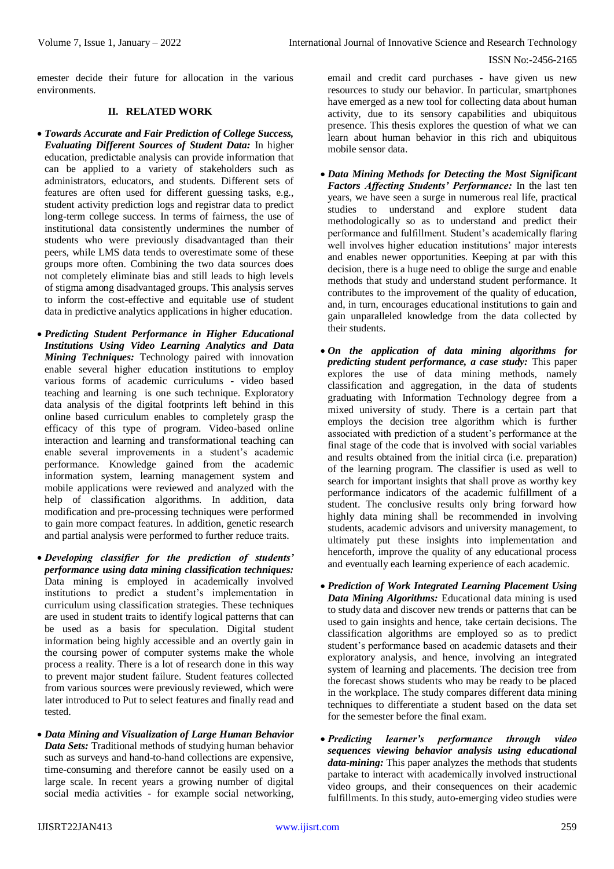emester decide their future for allocation in the various environments.

# **II. RELATED WORK**

- *Towards Accurate and Fair Prediction of College Success, Evaluating Different Sources of Student Data:* In higher education, predictable analysis can provide information that can be applied to a variety of stakeholders such as administrators, educators, and students. Different sets of features are often used for different guessing tasks, e.g., student activity prediction logs and registrar data to predict long-term college success. In terms of fairness, the use of institutional data consistently undermines the number of students who were previously disadvantaged than their peers, while LMS data tends to overestimate some of these groups more often. Combining the two data sources does not completely eliminate bias and still leads to high levels of stigma among disadvantaged groups. This analysis serves to inform the cost-effective and equitable use of student data in predictive analytics applications in higher education.
- *Predicting Student Performance in Higher Educational Institutions Using Video Learning Analytics and Data Mining Techniques:* Technology paired with innovation enable several higher education institutions to employ various forms of academic curriculums - video based teaching and learning is one such technique. Exploratory data analysis of the digital footprints left behind in this online based curriculum enables to completely grasp the efficacy of this type of program. Video-based online interaction and learning and transformational teaching can enable several improvements in a student's academic performance. Knowledge gained from the academic information system, learning management system and mobile applications were reviewed and analyzed with the help of classification algorithms. In addition, data modification and pre-processing techniques were performed to gain more compact features. In addition, genetic research and partial analysis were performed to further reduce traits.
- *Developing classifier for the prediction of students' performance using data mining classification techniques:*  Data mining is employed in academically involved institutions to predict a student's implementation in curriculum using classification strategies. These techniques are used in student traits to identify logical patterns that can be used as a basis for speculation. Digital student information being highly accessible and an overtly gain in the coursing power of computer systems make the whole process a reality. There is a lot of research done in this way to prevent major student failure. Student features collected from various sources were previously reviewed, which were later introduced to Put to select features and finally read and tested.
- *Data Mining and Visualization of Large Human Behavior Data Sets:* Traditional methods of studying human behavior such as surveys and hand-to-hand collections are expensive, time-consuming and therefore cannot be easily used on a large scale. In recent years a growing number of digital social media activities - for example social networking,

email and credit card purchases - have given us new resources to study our behavior. In particular, smartphones have emerged as a new tool for collecting data about human activity, due to its sensory capabilities and ubiquitous presence. This thesis explores the question of what we can learn about human behavior in this rich and ubiquitous mobile sensor data.

- *Data Mining Methods for Detecting the Most Significant Factors Affecting Students' Performance:* In the last ten years, we have seen a surge in numerous real life, practical studies to understand and explore student data methodologically so as to understand and predict their performance and fulfillment. Student's academically flaring well involves higher education institutions' major interests and enables newer opportunities. Keeping at par with this decision, there is a huge need to oblige the surge and enable methods that study and understand student performance. It contributes to the improvement of the quality of education, and, in turn, encourages educational institutions to gain and gain unparalleled knowledge from the data collected by their students.
- *On the application of data mining algorithms for predicting student performance, a case study:* This paper explores the use of data mining methods, namely classification and aggregation, in the data of students graduating with Information Technology degree from a mixed university of study. There is a certain part that employs the decision tree algorithm which is further associated with prediction of a student's performance at the final stage of the code that is involved with social variables and results obtained from the initial circa (i.e. preparation) of the learning program. The classifier is used as well to search for important insights that shall prove as worthy key performance indicators of the academic fulfillment of a student. The conclusive results only bring forward how highly data mining shall be recommended in involving students, academic advisors and university management, to ultimately put these insights into implementation and henceforth, improve the quality of any educational process and eventually each learning experience of each academic.
- *Prediction of Work Integrated Learning Placement Using Data Mining Algorithms:* Educational data mining is used to study data and discover new trends or patterns that can be used to gain insights and hence, take certain decisions. The classification algorithms are employed so as to predict student's performance based on academic datasets and their exploratory analysis, and hence, involving an integrated system of learning and placements. The decision tree from the forecast shows students who may be ready to be placed in the workplace. The study compares different data mining techniques to differentiate a student based on the data set for the semester before the final exam.
- *Predicting learner's performance through video sequences viewing behavior analysis using educational data-mining:* This paper analyzes the methods that students partake to interact with academically involved instructional video groups, and their consequences on their academic fulfillments. In this study, auto-emerging video studies were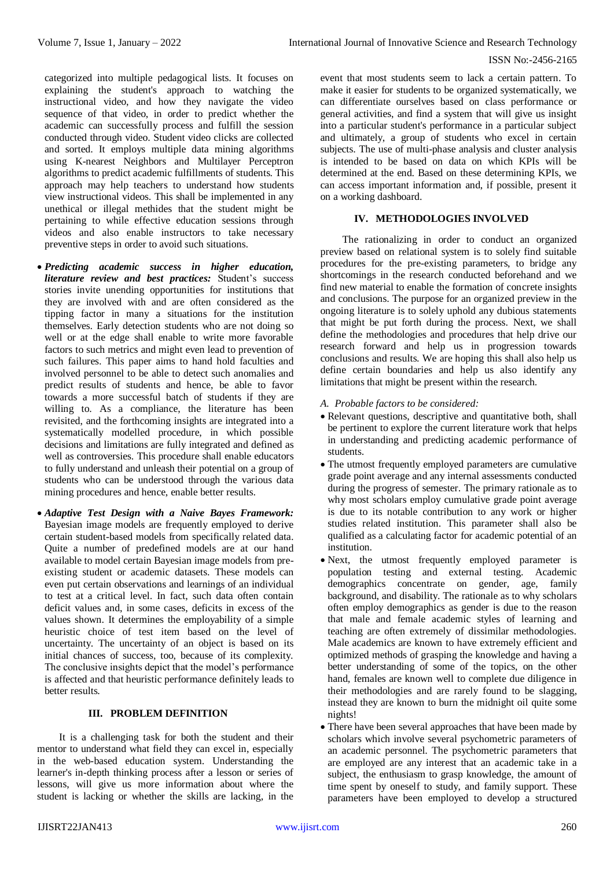categorized into multiple pedagogical lists. It focuses on explaining the student's approach to watching the instructional video, and how they navigate the video sequence of that video, in order to predict whether the academic can successfully process and fulfill the session conducted through video. Student video clicks are collected and sorted. It employs multiple data mining algorithms using K-nearest Neighbors and Multilayer Perceptron algorithms to predict academic fulfillments of students. This approach may help teachers to understand how students view instructional videos. This shall be implemented in any unethical or illegal methides that the student might be pertaining to while effective education sessions through videos and also enable instructors to take necessary preventive steps in order to avoid such situations.

- *Predicting academic success in higher education, literature review and best practices:* Student's success stories invite unending opportunities for institutions that they are involved with and are often considered as the tipping factor in many a situations for the institution themselves. Early detection students who are not doing so well or at the edge shall enable to write more favorable factors to such metrics and might even lead to prevention of such failures. This paper aims to hand hold faculties and involved personnel to be able to detect such anomalies and predict results of students and hence, be able to favor towards a more successful batch of students if they are willing to. As a compliance, the literature has been revisited, and the forthcoming insights are integrated into a systematically modelled procedure, in which possible decisions and limitations are fully integrated and defined as well as controversies. This procedure shall enable educators to fully understand and unleash their potential on a group of students who can be understood through the various data mining procedures and hence, enable better results.
- *Adaptive Test Design with a Naive Bayes Framework:* Bayesian image models are frequently employed to derive certain student-based models from specifically related data. Quite a number of predefined models are at our hand available to model certain Bayesian image models from preexisting student or academic datasets. These models can even put certain observations and learnings of an individual to test at a critical level. In fact, such data often contain deficit values and, in some cases, deficits in excess of the values shown. It determines the employability of a simple heuristic choice of test item based on the level of uncertainty. The uncertainty of an object is based on its initial chances of success, too, because of its complexity. The conclusive insights depict that the model's performance is affected and that heuristic performance definitely leads to better results.

# **III. PROBLEM DEFINITION**

It is a challenging task for both the student and their mentor to understand what field they can excel in, especially in the web-based education system. Understanding the learner's in-depth thinking process after a lesson or series of lessons, will give us more information about where the student is lacking or whether the skills are lacking, in the

event that most students seem to lack a certain pattern. To make it easier for students to be organized systematically, we can differentiate ourselves based on class performance or general activities, and find a system that will give us insight into a particular student's performance in a particular subject and ultimately, a group of students who excel in certain subjects. The use of multi-phase analysis and cluster analysis is intended to be based on data on which KPIs will be determined at the end. Based on these determining KPIs, we can access important information and, if possible, present it on a working dashboard.

# **IV. METHODOLOGIES INVOLVED**

The rationalizing in order to conduct an organized preview based on relational system is to solely find suitable procedures for the pre-existing parameters, to bridge any shortcomings in the research conducted beforehand and we find new material to enable the formation of concrete insights and conclusions. The purpose for an organized preview in the ongoing literature is to solely uphold any dubious statements that might be put forth during the process. Next, we shall define the methodologies and procedures that help drive our research forward and help us in progression towards conclusions and results. We are hoping this shall also help us define certain boundaries and help us also identify any limitations that might be present within the research.

- *A. Probable factors to be considered:*
- Relevant questions, descriptive and quantitative both, shall be pertinent to explore the current literature work that helps in understanding and predicting academic performance of students.
- The utmost frequently employed parameters are cumulative grade point average and any internal assessments conducted during the progress of semester. The primary rationale as to why most scholars employ cumulative grade point average is due to its notable contribution to any work or higher studies related institution. This parameter shall also be qualified as a calculating factor for academic potential of an institution.
- Next, the utmost frequently employed parameter is population testing and external testing. Academic demographics concentrate on gender, age, family background, and disability. The rationale as to why scholars often employ demographics as gender is due to the reason that male and female academic styles of learning and teaching are often extremely of dissimilar methodologies. Male academics are known to have extremely efficient and optimized methods of grasping the knowledge and having a better understanding of some of the topics, on the other hand, females are known well to complete due diligence in their methodologies and are rarely found to be slagging, instead they are known to burn the midnight oil quite some nights!
- There have been several approaches that have been made by scholars which involve several psychometric parameters of an academic personnel. The psychometric parameters that are employed are any interest that an academic take in a subject, the enthusiasm to grasp knowledge, the amount of time spent by oneself to study, and family support. These parameters have been employed to develop a structured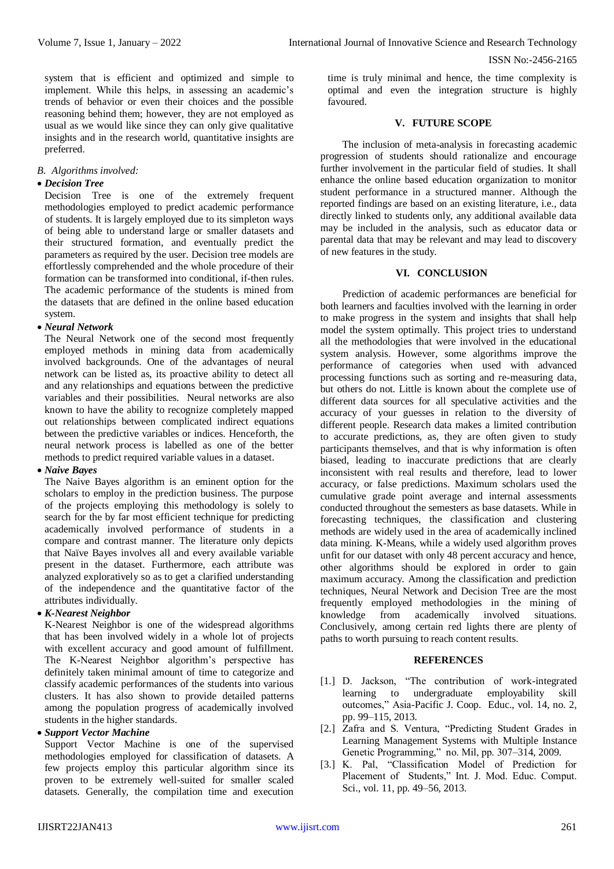system that is efficient and optimized and simple to implement. While this helps, in assessing an academic's trends of behavior or even their choices and the possible reasoning behind them; however, they are not employed as usual as we would like since they can only give qualitative insights and in the research world, quantitative insights are preferred.

### *B. Algorithms involved:*

# *Decision Tree*

Decision Tree is one of the extremely frequent methodologies employed to predict academic performance of students. It is largely employed due to its simpleton ways of being able to understand large or smaller datasets and their structured formation, and eventually predict the parameters as required by the user. Decision tree models are effortlessly comprehended and the whole procedure of their formation can be transformed into conditional, if-then rules. The academic performance of the students is mined from the datasets that are defined in the online based education system.

#### *Neural Network*

The Neural Network one of the second most frequently employed methods in mining data from academically involved backgrounds. One of the advantages of neural network can be listed as, its proactive ability to detect all and any relationships and equations between the predictive variables and their possibilities. Neural networks are also known to have the ability to recognize completely mapped out relationships between complicated indirect equations between the predictive variables or indices. Henceforth, the neural network process is labelled as one of the better methods to predict required variable values in a dataset.

# *Naive Bayes*

The Naive Bayes algorithm is an eminent option for the scholars to employ in the prediction business. The purpose of the projects employing this methodology is solely to search for the by far most efficient technique for predicting academically involved performance of students in a compare and contrast manner. The literature only depicts that Naïve Bayes involves all and every available variable present in the dataset. Furthermore, each attribute was analyzed exploratively so as to get a clarified understanding of the independence and the quantitative factor of the attributes individually.

# *K-Nearest Neighbor*

K-Nearest Neighbor is one of the widespread algorithms that has been involved widely in a whole lot of projects with excellent accuracy and good amount of fulfillment. The K-Nearest Neighbor algorithm's perspective has definitely taken minimal amount of time to categorize and classify academic performances of the students into various clusters. It has also shown to provide detailed patterns among the population progress of academically involved students in the higher standards.

# *Support Vector Machine*

Support Vector Machine is one of the supervised methodologies employed for classification of datasets. A few projects employ this particular algorithm since its proven to be extremely well-suited for smaller scaled datasets. Generally, the compilation time and execution

time is truly minimal and hence, the time complexity is optimal and even the integration structure is highly favoured.

#### **V. FUTURE SCOPE**

The inclusion of meta-analysis in forecasting academic progression of students should rationalize and encourage further involvement in the particular field of studies. It shall enhance the online based education organization to monitor student performance in a structured manner. Although the reported findings are based on an existing literature, i.e., data directly linked to students only, any additional available data may be included in the analysis, such as educator data or parental data that may be relevant and may lead to discovery of new features in the study.

#### **VI. CONCLUSION**

Prediction of academic performances are beneficial for both learners and faculties involved with the learning in order to make progress in the system and insights that shall help model the system optimally. This project tries to understand all the methodologies that were involved in the educational system analysis. However, some algorithms improve the performance of categories when used with advanced processing functions such as sorting and re-measuring data, but others do not. Little is known about the complete use of different data sources for all speculative activities and the accuracy of your guesses in relation to the diversity of different people. Research data makes a limited contribution to accurate predictions, as, they are often given to study participants themselves, and that is why information is often biased, leading to inaccurate predictions that are clearly inconsistent with real results and therefore, lead to lower accuracy, or false predictions. Maximum scholars used the cumulative grade point average and internal assessments conducted throughout the semesters as base datasets. While in forecasting techniques, the classification and clustering methods are widely used in the area of academically inclined data mining. K-Means, while a widely used algorithm proves unfit for our dataset with only 48 percent accuracy and hence, other algorithms should be explored in order to gain maximum accuracy. Among the classification and prediction techniques, Neural Network and Decision Tree are the most frequently employed methodologies in the mining of knowledge from academically involved situations. Conclusively, among certain red lights there are plenty of paths to worth pursuing to reach content results.

#### **REFERENCES**

- [1.] D. Jackson, "The contribution of work-integrated learning to undergraduate employability skill outcomes," Asia-Pacific J. Coop. Educ., vol. 14, no. 2, pp. 99–115, 2013.
- [2.] Zafra and S. Ventura, "Predicting Student Grades in Learning Management Systems with Multiple Instance Genetic Programming," no. Mil, pp. 307–314, 2009.
- [3.] K. Pal, "Classification Model of Prediction for Placement of Students," Int. J. Mod. Educ. Comput. Sci., vol. 11, pp. 49–56, 2013.